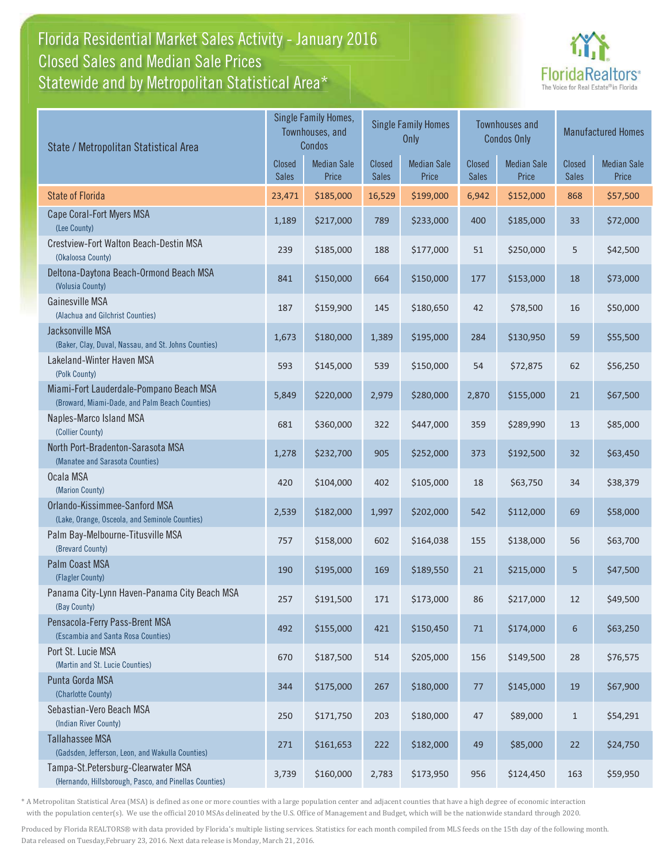### Florida Residential Market Sales Activity - January 2016 Statewide and by Metropolitan Statistical Area $^{\star}$ Closed Sales and Median Sale Prices



| State / Metropolitan Statistical Area                                                        |                        | Single Family Homes,<br>Townhouses, and<br>Condos |                               | <b>Single Family Homes</b><br><b>Only</b> | <b>Townhouses and</b><br><b>Condos Only</b> |                             | <b>Manufactured Homes</b> |                             |
|----------------------------------------------------------------------------------------------|------------------------|---------------------------------------------------|-------------------------------|-------------------------------------------|---------------------------------------------|-----------------------------|---------------------------|-----------------------------|
|                                                                                              | Closed<br><b>Sales</b> | <b>Median Sale</b><br>Price                       | <b>Closed</b><br><b>Sales</b> | <b>Median Sale</b><br>Price               | <b>Closed</b><br><b>Sales</b>               | <b>Median Sale</b><br>Price | Closed<br><b>Sales</b>    | <b>Median Sale</b><br>Price |
| <b>State of Florida</b>                                                                      | 23,471                 | \$185,000                                         | 16,529                        | \$199,000                                 | 6,942                                       | \$152,000                   | 868                       | \$57,500                    |
| Cape Coral-Fort Myers MSA<br>(Lee County)                                                    | 1,189                  | \$217,000                                         | 789                           | \$233,000                                 | 400                                         | \$185,000                   | 33                        | \$72,000                    |
| Crestview-Fort Walton Beach-Destin MSA<br>(Okaloosa County)                                  | 239                    | \$185,000                                         | 188                           | \$177,000                                 | 51                                          | \$250,000                   | 5                         | \$42,500                    |
| Deltona-Daytona Beach-Ormond Beach MSA<br>(Volusia County)                                   | 841                    | \$150,000                                         | 664                           | \$150,000                                 | 177                                         | \$153,000                   | 18                        | \$73,000                    |
| Gainesville MSA<br>(Alachua and Gilchrist Counties)                                          | 187                    | \$159,900                                         | 145                           | \$180,650                                 | 42                                          | \$78,500                    | 16                        | \$50,000                    |
| Jacksonville MSA<br>(Baker, Clay, Duval, Nassau, and St. Johns Counties)                     | 1,673                  | \$180,000                                         | 1,389                         | \$195,000                                 | 284                                         | \$130,950                   | 59                        | \$55,500                    |
| Lakeland-Winter Haven MSA<br>(Polk County)                                                   | 593                    | \$145,000                                         | 539                           | \$150,000                                 | 54                                          | \$72,875                    | 62                        | \$56,250                    |
| Miami-Fort Lauderdale-Pompano Beach MSA<br>(Broward, Miami-Dade, and Palm Beach Counties)    | 5,849                  | \$220,000                                         | 2,979                         | \$280,000                                 | 2,870                                       | \$155,000                   | 21                        | \$67,500                    |
| Naples-Marco Island MSA<br>(Collier County)                                                  | 681                    | \$360,000                                         | 322                           | \$447,000                                 | 359                                         | \$289,990                   | 13                        | \$85,000                    |
| North Port-Bradenton-Sarasota MSA<br>(Manatee and Sarasota Counties)                         | 1,278                  | \$232,700                                         | 905                           | \$252,000                                 | 373                                         | \$192,500                   | 32                        | \$63,450                    |
| Ocala MSA<br>(Marion County)                                                                 | 420                    | \$104,000                                         | 402                           | \$105,000                                 | 18                                          | \$63,750                    | 34                        | \$38,379                    |
| Orlando-Kissimmee-Sanford MSA<br>(Lake, Orange, Osceola, and Seminole Counties)              | 2,539                  | \$182,000                                         | 1,997                         | \$202,000                                 | 542                                         | \$112,000                   | 69                        | \$58,000                    |
| Palm Bay-Melbourne-Titusville MSA<br>(Brevard County)                                        | 757                    | \$158,000                                         | 602                           | \$164,038                                 | 155                                         | \$138,000                   | 56                        | \$63,700                    |
| Palm Coast MSA<br>(Flagler County)                                                           | 190                    | \$195,000                                         | 169                           | \$189,550                                 | 21                                          | \$215,000                   | 5                         | \$47,500                    |
| Panama City-Lynn Haven-Panama City Beach MSA<br>(Bay County)                                 | 257                    | \$191,500                                         | 171                           | \$173,000                                 | 86                                          | \$217,000                   | 12                        | \$49,500                    |
| Pensacola-Ferry Pass-Brent MSA<br>(Escambia and Santa Rosa Counties)                         | 492                    | \$155,000                                         | 421                           | \$150,450                                 | $71\,$                                      | \$174,000                   | 6                         | \$63,250                    |
| Port St. Lucie MSA<br>(Martin and St. Lucie Counties)                                        | 670                    | \$187,500                                         | 514                           | \$205,000                                 | 156                                         | \$149,500                   | 28                        | \$76,575                    |
| Punta Gorda MSA<br>(Charlotte County)                                                        | 344                    | \$175,000                                         | 267                           | \$180,000                                 | $77 \,$                                     | \$145,000                   | $19\,$                    | \$67,900                    |
| Sebastian-Vero Beach MSA<br>(Indian River County)                                            | 250                    | \$171,750                                         | 203                           | \$180,000                                 | 47                                          | \$89,000                    | $\,1\,$                   | \$54,291                    |
| <b>Tallahassee MSA</b><br>(Gadsden, Jefferson, Leon, and Wakulla Counties)                   | 271                    | \$161,653                                         | 222                           | \$182,000                                 | 49                                          | \$85,000                    | 22                        | \$24,750                    |
| Tampa-St.Petersburg-Clearwater MSA<br>(Hernando, Hillsborough, Pasco, and Pinellas Counties) | 3,739                  | \$160,000                                         | 2,783                         | \$173,950                                 | 956                                         | \$124,450                   | 163                       | \$59,950                    |

\* A Metropolitan Statistical Area (MSA) is defined as one or more counties with a large population center and adjacent counties that have a high degree of economic interaction with the population center(s). We use the official 2010 MSAs delineated by the U.S. Office of Management and Budget, which will be the nationwide standard through 2020.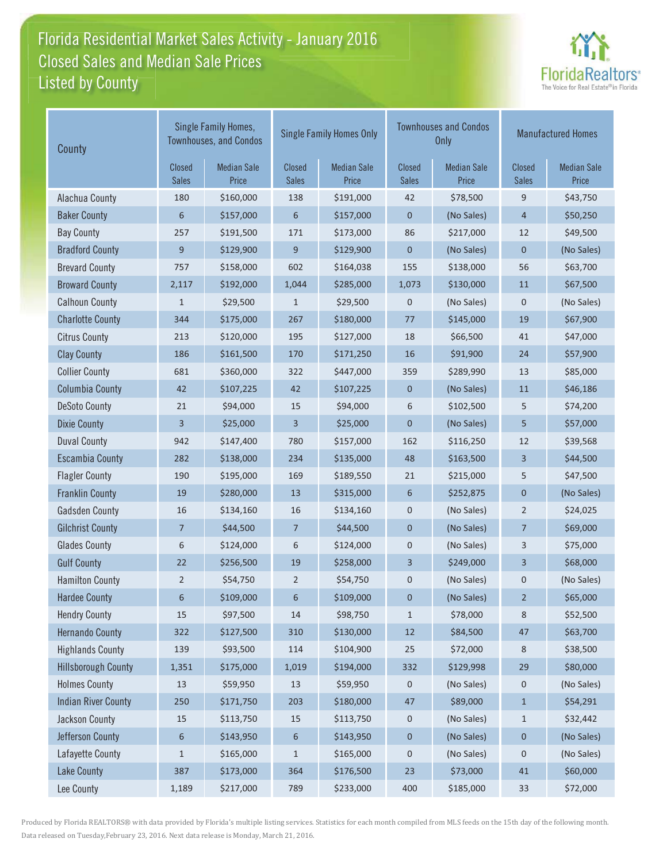### Florida Residential Market Sales Activity - January 2016 Listed by County-Closed Sales and Median Sale Prices



| County                     |                        | Single Family Homes,<br><b>Townhouses, and Condos</b> |                               | <b>Single Family Homes Only</b> |                        | <b>Townhouses and Condos</b><br><b>Only</b> | <b>Manufactured Homes</b>     |                             |
|----------------------------|------------------------|-------------------------------------------------------|-------------------------------|---------------------------------|------------------------|---------------------------------------------|-------------------------------|-----------------------------|
|                            | Closed<br><b>Sales</b> | <b>Median Sale</b><br>Price                           | <b>Closed</b><br><b>Sales</b> | <b>Median Sale</b><br>Price     | Closed<br><b>Sales</b> | <b>Median Sale</b><br>Price                 | <b>Closed</b><br><b>Sales</b> | <b>Median Sale</b><br>Price |
| Alachua County             | 180                    | \$160,000                                             | 138                           | \$191,000                       | 42                     | \$78,500                                    | 9                             | \$43,750                    |
| <b>Baker County</b>        | 6                      | \$157,000                                             | 6                             | \$157,000                       | $\mathbf 0$            | (No Sales)                                  | 4                             | \$50,250                    |
| <b>Bay County</b>          | 257                    | \$191,500                                             | 171                           | \$173,000                       | 86                     | \$217,000                                   | 12                            | \$49,500                    |
| <b>Bradford County</b>     | 9                      | \$129,900                                             | 9                             | \$129,900                       | $\mathbf 0$            | (No Sales)                                  | 0                             | (No Sales)                  |
| <b>Brevard County</b>      | 757                    | \$158,000                                             | 602                           | \$164,038                       | 155                    | \$138,000                                   | 56                            | \$63,700                    |
| <b>Broward County</b>      | 2,117                  | \$192,000                                             | 1,044                         | \$285,000                       | 1,073                  | \$130,000                                   | 11                            | \$67,500                    |
| <b>Calhoun County</b>      | $\mathbf{1}$           | \$29,500                                              | $\mathbf{1}$                  | \$29,500                        | 0                      | (No Sales)                                  | 0                             | (No Sales)                  |
| <b>Charlotte County</b>    | 344                    | \$175,000                                             | 267                           | \$180,000                       | 77                     | \$145,000                                   | 19                            | \$67,900                    |
| <b>Citrus County</b>       | 213                    | \$120,000                                             | 195                           | \$127,000                       | 18                     | \$66,500                                    | 41                            | \$47,000                    |
| <b>Clay County</b>         | 186                    | \$161,500                                             | 170                           | \$171,250                       | 16                     | \$91,900                                    | 24                            | \$57,900                    |
| <b>Collier County</b>      | 681                    | \$360,000                                             | 322                           | \$447,000                       | 359                    | \$289,990                                   | 13                            | \$85,000                    |
| <b>Columbia County</b>     | 42                     | \$107,225                                             | 42                            | \$107,225                       | $\mathbf 0$            | (No Sales)                                  | 11                            | \$46,186                    |
| <b>DeSoto County</b>       | 21                     | \$94,000                                              | 15                            | \$94,000                        | 6                      | \$102,500                                   | 5                             | \$74,200                    |
| <b>Dixie County</b>        | 3                      | \$25,000                                              | 3                             | \$25,000                        | $\mathbf 0$            | (No Sales)                                  | 5                             | \$57,000                    |
| <b>Duval County</b>        | 942                    | \$147,400                                             | 780                           | \$157,000                       | 162                    | \$116,250                                   | 12                            | \$39,568                    |
| <b>Escambia County</b>     | 282                    | \$138,000                                             | 234                           | \$135,000                       | 48                     | \$163,500                                   | 3                             | \$44,500                    |
| <b>Flagler County</b>      | 190                    | \$195,000                                             | 169                           | \$189,550                       | 21                     | \$215,000                                   | 5                             | \$47,500                    |
| <b>Franklin County</b>     | 19                     | \$280,000                                             | 13                            | \$315,000                       | 6                      | \$252,875                                   | 0                             | (No Sales)                  |
| <b>Gadsden County</b>      | 16                     | \$134,160                                             | 16                            | \$134,160                       | $\pmb{0}$              | (No Sales)                                  | 2                             | \$24,025                    |
| <b>Gilchrist County</b>    | 7                      | \$44,500                                              | $\overline{7}$                | \$44,500                        | $\mathbf 0$            | (No Sales)                                  | 7                             | \$69,000                    |
| <b>Glades County</b>       | 6                      | \$124,000                                             | 6                             | \$124,000                       | $\mathbf 0$            | (No Sales)                                  | 3                             | \$75,000                    |
| <b>Gulf County</b>         | 22                     | \$256,500                                             | 19                            | \$258,000                       | 3                      | \$249,000                                   | 3                             | \$68,000                    |
| <b>Hamilton County</b>     | $\overline{2}$         | \$54,750                                              | $\overline{2}$                | \$54,750                        | $\pmb{0}$              | (No Sales)                                  | 0                             | (No Sales)                  |
| <b>Hardee County</b>       | 6                      | \$109,000                                             | 6                             | \$109,000                       | 0                      | (No Sales)                                  | 2                             | \$65,000                    |
| <b>Hendry County</b>       | $15\,$                 | \$97,500                                              | $14\,$                        | \$98,750                        | $\mathbf{1}$           | \$78,000                                    | 8                             | \$52,500                    |
| <b>Hernando County</b>     | 322                    | \$127,500                                             | 310                           | \$130,000                       | $12\,$                 | \$84,500                                    | 47                            | \$63,700                    |
| <b>Highlands County</b>    | 139                    | \$93,500                                              | 114                           | \$104,900                       | 25                     | \$72,000                                    | 8                             | \$38,500                    |
| <b>Hillsborough County</b> | 1,351                  | \$175,000                                             | 1,019                         | \$194,000                       | 332                    | \$129,998                                   | 29                            | \$80,000                    |
| <b>Holmes County</b>       | $13\,$                 | \$59,950                                              | $13\,$                        | \$59,950                        | 0                      | (No Sales)                                  | 0                             | (No Sales)                  |
| <b>Indian River County</b> | 250                    | \$171,750                                             | 203                           | \$180,000                       | $47\,$                 | \$89,000                                    | $\mathbf{1}$                  | \$54,291                    |
| Jackson County             | 15                     | \$113,750                                             | 15                            | \$113,750                       | $\boldsymbol{0}$       | (No Sales)                                  | $\mathbf{1}$                  | \$32,442                    |
| Jefferson County           | 6                      | \$143,950                                             | 6                             | \$143,950                       | $\pmb{0}$              | (No Sales)                                  | $\pmb{0}$                     | (No Sales)                  |
| Lafayette County           | 1                      | \$165,000                                             | $\mathbf 1$                   | \$165,000                       | 0                      | (No Sales)                                  | 0                             | (No Sales)                  |
| <b>Lake County</b>         | 387                    | \$173,000                                             | 364                           | \$176,500                       | $23\,$                 | \$73,000                                    | 41                            | \$60,000                    |
| Lee County                 | 1,189                  | \$217,000                                             | 789                           | \$233,000                       | 400                    | \$185,000                                   | 33                            | \$72,000                    |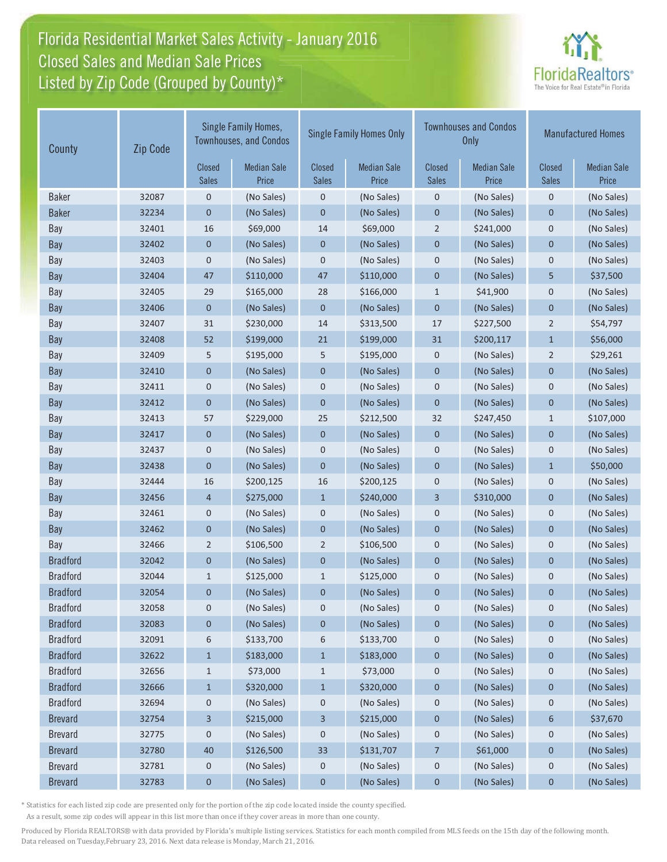# Florida Residential Market Sales Activity - January 2016 Florida Residential Market Sales Activity Closed Sales and Median Sale Prices  $\quad \equiv$ Listed by Zip Code (Grouped by County)\*



| County          | Zip Code | Single Family Homes,<br><b>Townhouses, and Condos</b> |                             | <b>Single Family Homes Only</b> |                             |                        | <b>Townhouses and Condos</b><br><b>Only</b> | <b>Manufactured Homes</b>     |                             |
|-----------------|----------|-------------------------------------------------------|-----------------------------|---------------------------------|-----------------------------|------------------------|---------------------------------------------|-------------------------------|-----------------------------|
|                 |          | Closed<br><b>Sales</b>                                | <b>Median Sale</b><br>Price | <b>Closed</b><br><b>Sales</b>   | <b>Median Sale</b><br>Price | Closed<br><b>Sales</b> | <b>Median Sale</b><br>Price                 | <b>Closed</b><br><b>Sales</b> | <b>Median Sale</b><br>Price |
| <b>Baker</b>    | 32087    | $\mathbf 0$                                           | (No Sales)                  | 0                               | (No Sales)                  | $\boldsymbol{0}$       | (No Sales)                                  | $\mathbf 0$                   | (No Sales)                  |
| <b>Baker</b>    | 32234    | 0                                                     | (No Sales)                  | $\pmb{0}$                       | (No Sales)                  | $\pmb{0}$              | (No Sales)                                  | $\mathbf{0}$                  | (No Sales)                  |
| Bay             | 32401    | 16                                                    | \$69,000                    | 14                              | \$69,000                    | 2                      | \$241,000                                   | $\mathbf 0$                   | (No Sales)                  |
| Bay             | 32402    | 0                                                     | (No Sales)                  | $\pmb{0}$                       | (No Sales)                  | $\pmb{0}$              | (No Sales)                                  | $\mathbf{0}$                  | (No Sales)                  |
| Bay             | 32403    | 0                                                     | (No Sales)                  | $\boldsymbol{0}$                | (No Sales)                  | $\mathbf 0$            | (No Sales)                                  | $\mathbf 0$                   | (No Sales)                  |
| Bay             | 32404    | 47                                                    | \$110,000                   | 47                              | \$110,000                   | $\mathbf 0$            | (No Sales)                                  | 5                             | \$37,500                    |
| Bay             | 32405    | 29                                                    | \$165,000                   | 28                              | \$166,000                   | $\mathbf{1}$           | \$41,900                                    | $\mathbf 0$                   | (No Sales)                  |
| Bay             | 32406    | 0                                                     | (No Sales)                  | $\pmb{0}$                       | (No Sales)                  | $\mathbf 0$            | (No Sales)                                  | $\mathbf 0$                   | (No Sales)                  |
| Bay             | 32407    | 31                                                    | \$230,000                   | 14                              | \$313,500                   | 17                     | \$227,500                                   | $\mathbf 2$                   | \$54,797                    |
| Bay             | 32408    | 52                                                    | \$199,000                   | 21                              | \$199,000                   | 31                     | \$200,117                                   | $\mathbf{1}$                  | \$56,000                    |
| Bay             | 32409    | 5                                                     | \$195,000                   | 5                               | \$195,000                   | $\mathbf 0$            | (No Sales)                                  | $\overline{2}$                | \$29,261                    |
| Bay             | 32410    | $\mathbf 0$                                           | (No Sales)                  | $\mathbf 0$                     | (No Sales)                  | $\mathbf 0$            | (No Sales)                                  | $\mathbf 0$                   | (No Sales)                  |
| Bay             | 32411    | 0                                                     | (No Sales)                  | 0                               | (No Sales)                  | $\mathbf 0$            | (No Sales)                                  | $\mathbf 0$                   | (No Sales)                  |
| Bay             | 32412    | 0                                                     | (No Sales)                  | $\mathbf 0$                     | (No Sales)                  | $\mathbf 0$            | (No Sales)                                  | $\mathbf{0}$                  | (No Sales)                  |
| Bay             | 32413    | 57                                                    | \$229,000                   | 25                              | \$212,500                   | 32                     | \$247,450                                   | $\mathbf{1}$                  | \$107,000                   |
| Bay             | 32417    | $\mathbf 0$                                           | (No Sales)                  | $\pmb{0}$                       | (No Sales)                  | $\pmb{0}$              | (No Sales)                                  | $\pmb{0}$                     | (No Sales)                  |
| Bay             | 32437    | 0                                                     | (No Sales)                  | $\pmb{0}$                       | (No Sales)                  | $\boldsymbol{0}$       | (No Sales)                                  | $\mathbf 0$                   | (No Sales)                  |
| Bay             | 32438    | $\mathbf 0$                                           | (No Sales)                  | $\pmb{0}$                       | (No Sales)                  | $\pmb{0}$              | (No Sales)                                  | $\mathbf{1}$                  | \$50,000                    |
| Bay             | 32444    | 16                                                    | \$200,125                   | 16                              | \$200,125                   | $\pmb{0}$              | (No Sales)                                  | $\mathbf 0$                   | (No Sales)                  |
| Bay             | 32456    | 4                                                     | \$275,000                   | $\mathbf{1}$                    | \$240,000                   | 3                      | \$310,000                                   | $\mathbf 0$                   | (No Sales)                  |
| Bay             | 32461    | 0                                                     | (No Sales)                  | 0                               | (No Sales)                  | $\mathbf 0$            | (No Sales)                                  | $\mathbf 0$                   | (No Sales)                  |
| Bay             | 32462    | 0                                                     | (No Sales)                  | $\pmb{0}$                       | (No Sales)                  | $\mathbf 0$            | (No Sales)                                  | $\mathbf{0}$                  | (No Sales)                  |
| Bay             | 32466    | $\overline{2}$                                        | \$106,500                   | $\overline{2}$                  | \$106,500                   | $\pmb{0}$              | (No Sales)                                  | $\boldsymbol{0}$              | (No Sales)                  |
| <b>Bradford</b> | 32042    | 0                                                     | (No Sales)                  | $\mathbf 0$                     | (No Sales)                  | $\mathbf 0$            | (No Sales)                                  | $\mathbf 0$                   | (No Sales)                  |
| <b>Bradford</b> | 32044    | $\mathbf{1}$                                          | \$125,000                   | $\mathbf{1}$                    | \$125,000                   | $\mathbf 0$            | (No Sales)                                  | $\mathbf 0$                   | (No Sales)                  |
| <b>Bradford</b> | 32054    | 0                                                     | (No Sales)                  | $\pmb{0}$                       | (No Sales)                  | $\mathbf 0$            | (No Sales)                                  | 0                             | (No Sales)                  |
| <b>Bradford</b> | 32058    | 0                                                     | (No Sales)                  | 0                               | (No Sales)                  | $\mathbf 0$            | (No Sales)                                  | 0                             | (No Sales)                  |
| <b>Bradford</b> | 32083    | 0                                                     | (No Sales)                  | 0                               | (No Sales)                  | $\boldsymbol{0}$       | (No Sales)                                  | 0                             | (No Sales)                  |
| <b>Bradford</b> | 32091    | 6                                                     | \$133,700                   | 6                               | \$133,700                   | $\boldsymbol{0}$       | (No Sales)                                  | 0                             | (No Sales)                  |
| <b>Bradford</b> | 32622    | $\mathbf{1}$                                          | \$183,000                   | $\mathbf{1}$                    | \$183,000                   | $\bf{0}$               | (No Sales)                                  | $\mathbf 0$                   | (No Sales)                  |
| <b>Bradford</b> | 32656    | $\mathbf{1}$                                          | \$73,000                    | $\mathbf{1}$                    | \$73,000                    | 0                      | (No Sales)                                  | $\mathbf 0$                   | (No Sales)                  |
| <b>Bradford</b> | 32666    | $\mathbf{1}$                                          | \$320,000                   | $\mathbf{1}$                    | \$320,000                   | $\boldsymbol{0}$       | (No Sales)                                  | $\mathbf 0$                   | (No Sales)                  |
| <b>Bradford</b> | 32694    | 0                                                     | (No Sales)                  | 0                               | (No Sales)                  | $\mathbf 0$            | (No Sales)                                  | $\mathbf 0$                   | (No Sales)                  |
| <b>Brevard</b>  | 32754    | 3                                                     | \$215,000                   | 3                               | \$215,000                   | $\boldsymbol{0}$       | (No Sales)                                  | 6                             | \$37,670                    |
| <b>Brevard</b>  | 32775    | 0                                                     | (No Sales)                  | 0                               | (No Sales)                  | $\boldsymbol{0}$       | (No Sales)                                  | $\mathbf 0$                   | (No Sales)                  |
| <b>Brevard</b>  | 32780    | 40                                                    | \$126,500                   | 33                              | \$131,707                   | 7                      | \$61,000                                    | $\boldsymbol{0}$              | (No Sales)                  |
| <b>Brevard</b>  | 32781    | 0                                                     | (No Sales)                  | 0                               | (No Sales)                  | $\mathbf 0$            | (No Sales)                                  | 0                             | (No Sales)                  |
| <b>Brevard</b>  | 32783    | 0                                                     | (No Sales)                  | $\pmb{0}$                       | (No Sales)                  | $\pmb{0}$              | (No Sales)                                  | 0                             | (No Sales)                  |

\* Statistics for each listed zip code are presented only for the portion of the zip code located inside the county specified.

As a result, some zip codes will appear in this list more than once if they cover areas in more than one county.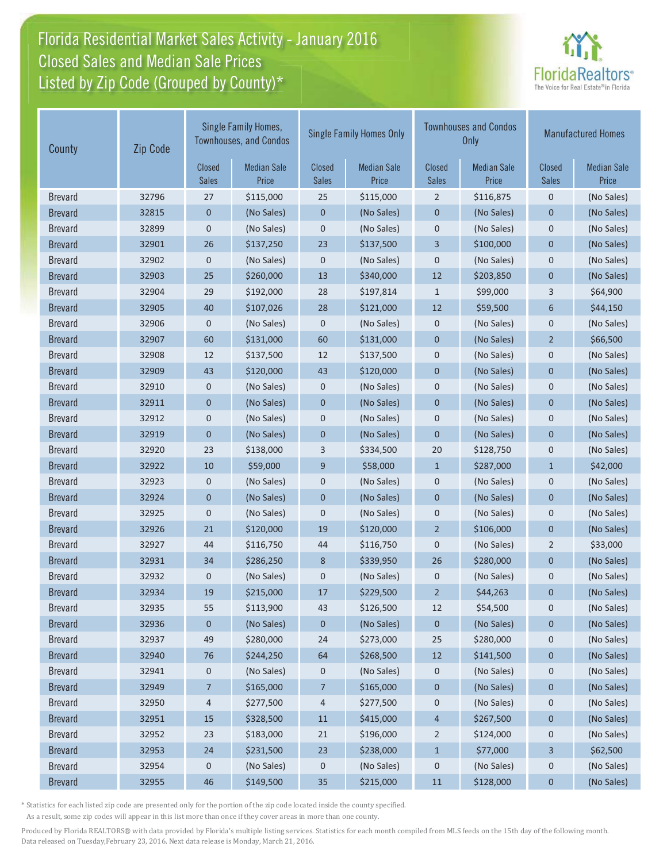# Florida Residential Market Sales Activity - January 2016 Florida Residential Market Sales Activity Closed Sales and Median Sale Prices  $\quad \equiv$ Listed by Zip Code (Grouped by County)\*



| County         | Zip Code | Single Family Homes,<br><b>Townhouses, and Condos</b> |                             | <b>Single Family Homes Only</b> |                             |                        | <b>Townhouses and Condos</b><br>Only | <b>Manufactured Homes</b> |                             |
|----------------|----------|-------------------------------------------------------|-----------------------------|---------------------------------|-----------------------------|------------------------|--------------------------------------|---------------------------|-----------------------------|
|                |          | <b>Closed</b><br><b>Sales</b>                         | <b>Median Sale</b><br>Price | <b>Closed</b><br><b>Sales</b>   | <b>Median Sale</b><br>Price | Closed<br><b>Sales</b> | <b>Median Sale</b><br>Price          | Closed<br><b>Sales</b>    | <b>Median Sale</b><br>Price |
| <b>Brevard</b> | 32796    | 27                                                    | \$115,000                   | 25                              | \$115,000                   | $\overline{2}$         | \$116,875                            | $\mathbf 0$               | (No Sales)                  |
| <b>Brevard</b> | 32815    | 0                                                     | (No Sales)                  | $\pmb{0}$                       | (No Sales)                  | $\mathbf 0$            | (No Sales)                           | 0                         | (No Sales)                  |
| <b>Brevard</b> | 32899    | $\pmb{0}$                                             | (No Sales)                  | $\mathbf 0$                     | (No Sales)                  | $\pmb{0}$              | (No Sales)                           | $\mathbf 0$               | (No Sales)                  |
| <b>Brevard</b> | 32901    | 26                                                    | \$137,250                   | 23                              | \$137,500                   | $\overline{3}$         | \$100,000                            | $\mathbf{0}$              | (No Sales)                  |
| <b>Brevard</b> | 32902    | $\pmb{0}$                                             | (No Sales)                  | $\mathbf 0$                     | (No Sales)                  | $\mathbf 0$            | (No Sales)                           | 0                         | (No Sales)                  |
| <b>Brevard</b> | 32903    | 25                                                    | \$260,000                   | 13                              | \$340,000                   | 12                     | \$203,850                            | $\mathbf 0$               | (No Sales)                  |
| <b>Brevard</b> | 32904    | 29                                                    | \$192,000                   | 28                              | \$197,814                   | $\mathbf{1}$           | \$99,000                             | 3                         | \$64,900                    |
| <b>Brevard</b> | 32905    | 40                                                    | \$107,026                   | 28                              | \$121,000                   | 12                     | \$59,500                             | 6                         | \$44,150                    |
| <b>Brevard</b> | 32906    | $\mathbf 0$                                           | (No Sales)                  | $\pmb{0}$                       | (No Sales)                  | $\mathbf 0$            | (No Sales)                           | $\mathbf 0$               | (No Sales)                  |
| <b>Brevard</b> | 32907    | 60                                                    | \$131,000                   | 60                              | \$131,000                   | $\mathbf 0$            | (No Sales)                           | $\overline{2}$            | \$66,500                    |
| <b>Brevard</b> | 32908    | 12                                                    | \$137,500                   | 12                              | \$137,500                   | $\mathbf 0$            | (No Sales)                           | $\mathbf 0$               | (No Sales)                  |
| <b>Brevard</b> | 32909    | 43                                                    | \$120,000                   | 43                              | \$120,000                   | $\overline{0}$         | (No Sales)                           | $\mathbf 0$               | (No Sales)                  |
| <b>Brevard</b> | 32910    | 0                                                     | (No Sales)                  | $\mathbf 0$                     | (No Sales)                  | $\mathbf 0$            | (No Sales)                           | $\mathbf 0$               | (No Sales)                  |
| <b>Brevard</b> | 32911    | $\pmb{0}$                                             | (No Sales)                  | $\mathbf 0$                     | (No Sales)                  | $\mathbf 0$            | (No Sales)                           | $\mathbf 0$               | (No Sales)                  |
| <b>Brevard</b> | 32912    | $\pmb{0}$                                             | (No Sales)                  | $\mathbf 0$                     | (No Sales)                  | $\mathbf 0$            | (No Sales)                           | 0                         | (No Sales)                  |
| <b>Brevard</b> | 32919    | $\mathbf 0$                                           | (No Sales)                  | $\pmb{0}$                       | (No Sales)                  | $\mathbf{0}$           | (No Sales)                           | 0                         | (No Sales)                  |
| <b>Brevard</b> | 32920    | 23                                                    | \$138,000                   | 3                               | \$334,500                   | 20                     | \$128,750                            | $\mathbf 0$               | (No Sales)                  |
| <b>Brevard</b> | 32922    | 10                                                    | \$59,000                    | 9                               | \$58,000                    | $\mathbf{1}$           | \$287,000                            | $\mathbf{1}$              | \$42,000                    |
| <b>Brevard</b> | 32923    | $\pmb{0}$                                             | (No Sales)                  | $\mathbf 0$                     | (No Sales)                  | $\pmb{0}$              | (No Sales)                           | $\mathbf 0$               | (No Sales)                  |
| <b>Brevard</b> | 32924    | $\pmb{0}$                                             | (No Sales)                  | $\mathbf 0$                     | (No Sales)                  | $\mathbf 0$            | (No Sales)                           | $\mathbf 0$               | (No Sales)                  |
| <b>Brevard</b> | 32925    | $\pmb{0}$                                             | (No Sales)                  | $\mathbf 0$                     | (No Sales)                  | $\boldsymbol{0}$       | (No Sales)                           | 0                         | (No Sales)                  |
| <b>Brevard</b> | 32926    | 21                                                    | \$120,000                   | 19                              | \$120,000                   | $\overline{2}$         | \$106,000                            | $\mathbf 0$               | (No Sales)                  |
| <b>Brevard</b> | 32927    | 44                                                    | \$116,750                   | 44                              | \$116,750                   | $\mathbf 0$            | (No Sales)                           | 2                         | \$33,000                    |
| <b>Brevard</b> | 32931    | 34                                                    | \$286,250                   | 8                               | \$339,950                   | 26                     | \$280,000                            | $\mathbf 0$               | (No Sales)                  |
| <b>Brevard</b> | 32932    | 0                                                     | (No Sales)                  | $\mathbf 0$                     | (No Sales)                  | $\mathbf 0$            | (No Sales)                           | $\mathbf 0$               | (No Sales)                  |
| <b>Brevard</b> | 32934    | 19                                                    | \$215,000                   | 17                              | \$229,500                   | $\overline{2}$         | \$44,263                             | $\mathbf 0$               | (No Sales)                  |
| <b>Brevard</b> | 32935    | 55                                                    | \$113,900                   | 43                              | \$126,500                   | 12                     | \$54,500                             | 0                         | (No Sales)                  |
| <b>Brevard</b> | 32936    | 0                                                     | (No Sales)                  | $\mathbf 0$                     | (No Sales)                  | $\mathbf{0}$           | (No Sales)                           | 0                         | (No Sales)                  |
| <b>Brevard</b> | 32937    | 49                                                    | \$280,000                   | 24                              | \$273,000                   | 25                     | \$280,000                            | 0                         | (No Sales)                  |
| <b>Brevard</b> | 32940    | 76                                                    | \$244,250                   | 64                              | \$268,500                   | 12                     | \$141,500                            | 0                         | (No Sales)                  |
| <b>Brevard</b> | 32941    | 0                                                     | (No Sales)                  | 0                               | (No Sales)                  | 0                      | (No Sales)                           | 0                         | (No Sales)                  |
| <b>Brevard</b> | 32949    | 7                                                     | \$165,000                   | 7                               | \$165,000                   | 0                      | (No Sales)                           | 0                         | (No Sales)                  |
| <b>Brevard</b> | 32950    | 4                                                     | \$277,500                   | 4                               | \$277,500                   | 0                      | (No Sales)                           | 0                         | (No Sales)                  |
| <b>Brevard</b> | 32951    | 15                                                    | \$328,500                   | $11\,$                          | \$415,000                   | 4                      | \$267,500                            | 0                         | (No Sales)                  |
| <b>Brevard</b> | 32952    | 23                                                    | \$183,000                   | 21                              | \$196,000                   | $\overline{2}$         | \$124,000                            | 0                         | (No Sales)                  |
| <b>Brevard</b> | 32953    | 24                                                    | \$231,500                   | 23                              | \$238,000                   | $\mathbf{1}$           | \$77,000                             | 3                         | \$62,500                    |
| <b>Brevard</b> | 32954    | 0                                                     | (No Sales)                  | 0                               | (No Sales)                  | 0                      | (No Sales)                           | 0                         | (No Sales)                  |
| <b>Brevard</b> | 32955    | 46                                                    | \$149,500                   | 35                              | \$215,000                   | $11\,$                 | \$128,000                            | $\pmb{0}$                 | (No Sales)                  |

\* Statistics for each listed zip code are presented only for the portion of the zip code located inside the county specified.

As a result, some zip codes will appear in this list more than once if they cover areas in more than one county.